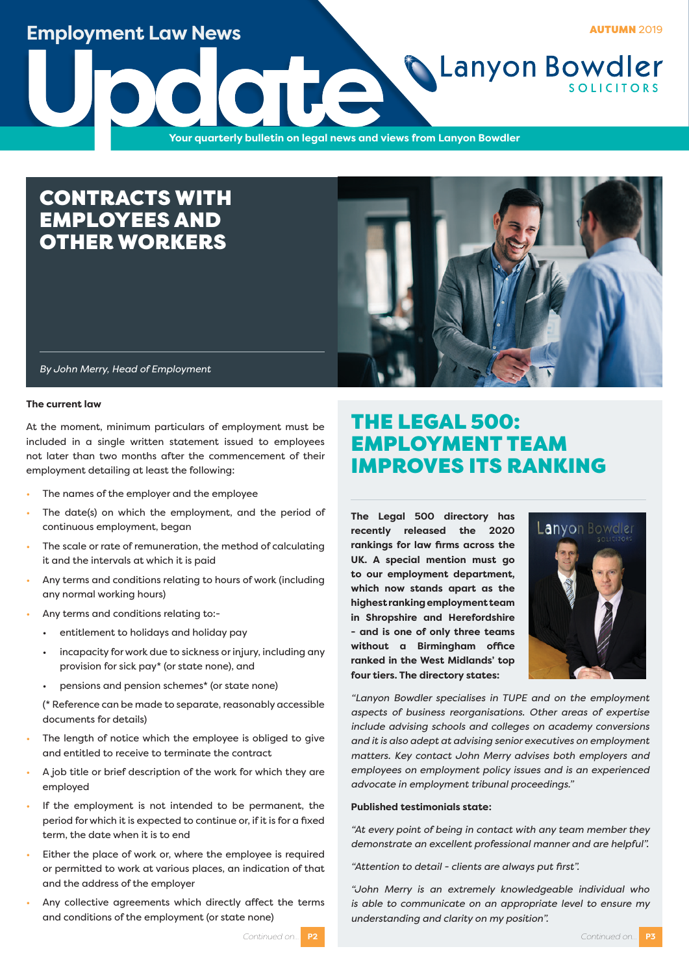## **Employment Law News**

**AUTUMN 2019** 

**CLanyon Bowdler** 

**Update**<br>The Vour quarterly bulletin on legal news and v **Your quarterly bulletin on legal news and views from Lanyon Bowdler**

## CONTRACTS WITH EMPLOYEES AND OTHER WORKERS



#### *By John Merry, Head of Employment*

#### **The current law**

At the moment, minimum particulars of employment must be included in a single written statement issued to employees not later than two months after the commencement of their employment detailing at least the following:

- The names of the employer and the employee
- The date(s) on which the employment, and the period of continuous employment, began
- The scale or rate of remuneration, the method of calculating it and the intervals at which it is paid
- Any terms and conditions relating to hours of work (including any normal working hours)
- Any terms and conditions relating to:-
	- entitlement to holidays and holiday pay
	- incapacity for work due to sickness or injury, including any provision for sick pay\* (or state none), and
	- pensions and pension schemes\* (or state none)

 (\* Reference can be made to separate, reasonably accessible documents for details)

- The length of notice which the employee is obliged to give and entitled to receive to terminate the contract
- A job title or brief description of the work for which they are employed
- If the employment is not intended to be permanent, the period for which it is expected to continue or, if it is for a fixed term, the date when it is to end
- Either the place of work or, where the employee is required or permitted to work at various places, an indication of that and the address of the employer
- Any collective agreements which directly affect the terms and conditions of the employment (or state none)

*Continued on...* **P2**

### THE LEGAL 500: EMPLOYMENT TEAM IMPROVES ITS RANKING

**The Legal 500 directory has recently released the 2020 rankings for law firms across the UK. A special mention must go to our employment department, which now stands apart as the highest ranking employment team in Shropshire and Herefordshire - and is one of only three teams without a Birmingham office ranked in the West Midlands' top four tiers. The directory states:** 



*"Lanyon Bowdler specialises in TUPE and on the employment aspects of business reorganisations. Other areas of expertise include advising schools and colleges on academy conversions and it is also adept at advising senior executives on employment matters. Key contact John Merry advises both employers and employees on employment policy issues and is an experienced advocate in employment tribunal proceedings."*

### **Published testimonials state:**

*"At every point of being in contact with any team member they demonstrate an excellent professional manner and are helpful".*

*"Attention to detail - clients are always put first".*

*"John Merry is an extremely knowledgeable individual who is able to communicate on an appropriate level to ensure my understanding and clarity on my position".*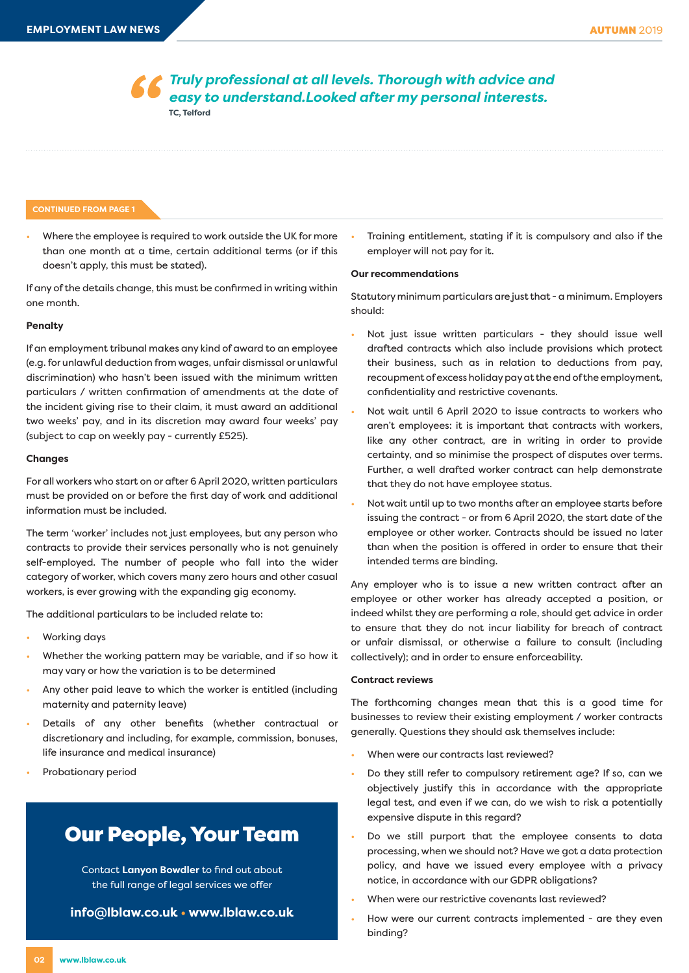*Truly professional at all levels. Thorough with advice and easy to understand.Looked after my personal interests.*  **TC, Telford**

#### **CONTINUED FROM PAGE 1**

Where the employee is required to work outside the UK for more than one month at a time, certain additional terms (or if this doesn't apply, this must be stated).

If any of the details change, this must be confirmed in writing within one month.

#### **Penalty**

If an employment tribunal makes any kind of award to an employee (e.g. for unlawful deduction from wages, unfair dismissal or unlawful discrimination) who hasn't been issued with the minimum written particulars / written confirmation of amendments at the date of the incident giving rise to their claim, it must award an additional two weeks' pay, and in its discretion may award four weeks' pay (subject to cap on weekly pay - currently £525).

#### **Changes**

For all workers who start on or after 6 April 2020, written particulars must be provided on or before the first day of work and additional information must be included.

The term 'worker' includes not just employees, but any person who contracts to provide their services personally who is not genuinely self-employed. The number of people who fall into the wider category of worker, which covers many zero hours and other casual workers, is ever growing with the expanding gig economy.

The additional particulars to be included relate to:

- Working days
- Whether the working pattern may be variable, and if so how it may vary or how the variation is to be determined
- Any other paid leave to which the worker is entitled (including maternity and paternity leave)
- Details of any other benefits (whether contractual or discretionary and including, for example, commission, bonuses, life insurance and medical insurance)
- Probationary period

# Our People, Your Team

Contact **Lanyon Bowdler** to find out about the full range of legal services we offer

**info@lblaw.co.uk • www.lblaw.co.uk**

• Training entitlement, stating if it is compulsory and also if the employer will not pay for it.

#### **Our recommendations**

Statutory minimum particulars are just that - a minimum. Employers should:

- Not just issue written particulars they should issue well drafted contracts which also include provisions which protect their business, such as in relation to deductions from pay, recoupment of excess holiday pay at the end of the employment, confidentiality and restrictive covenants.
- Not wait until 6 April 2020 to issue contracts to workers who aren't employees: it is important that contracts with workers, like any other contract, are in writing in order to provide certainty, and so minimise the prospect of disputes over terms. Further, a well drafted worker contract can help demonstrate that they do not have employee status.
- Not wait until up to two months after an employee starts before issuing the contract - or from 6 April 2020, the start date of the employee or other worker. Contracts should be issued no later than when the position is offered in order to ensure that their intended terms are binding.

Any employer who is to issue a new written contract after an employee or other worker has already accepted a position, or indeed whilst they are performing a role, should get advice in order to ensure that they do not incur liability for breach of contract or unfair dismissal, or otherwise a failure to consult (including collectively); and in order to ensure enforceability.

#### **Contract reviews**

The forthcoming changes mean that this is a good time for businesses to review their existing employment / worker contracts generally. Questions they should ask themselves include:

- When were our contracts last reviewed?
- Do they still refer to compulsory retirement age? If so, can we objectively justify this in accordance with the appropriate legal test, and even if we can, do we wish to risk a potentially expensive dispute in this regard?
- Do we still purport that the employee consents to data processing, when we should not? Have we got a data protection policy, and have we issued every employee with a privacy notice, in accordance with our GDPR obligations?
- When were our restrictive covenants last reviewed?
- How were our current contracts implemented are they even binding?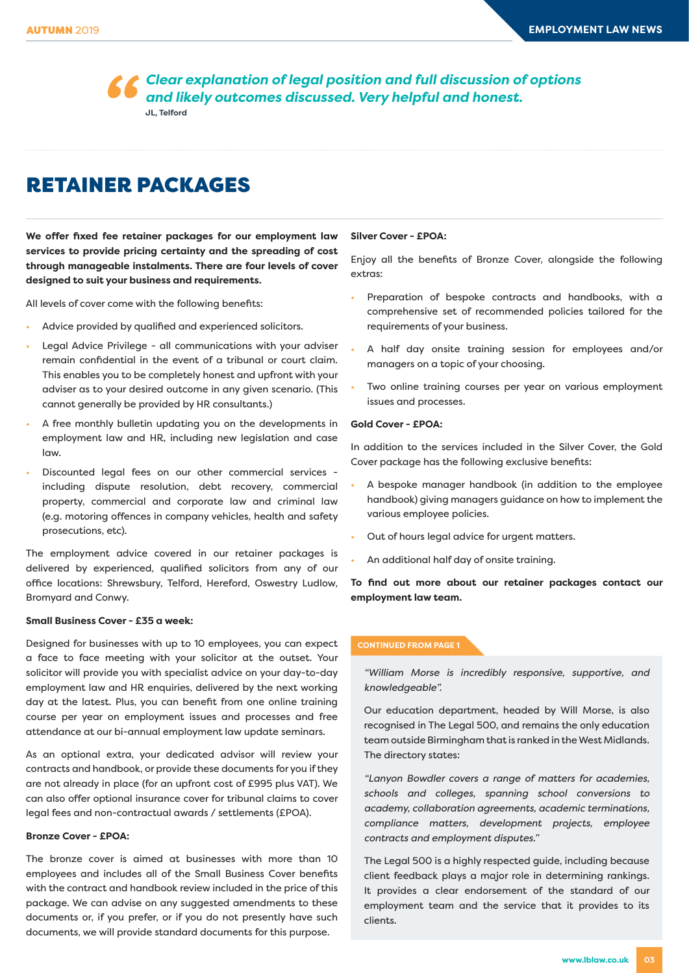*Clear explanation of legal position and full discussion of options and likely outcomes discussed. Very helpful and honest.*  **JL, Telford** 

### RETAINER PACKAGES

**We offer fixed fee retainer packages for our employment law services to provide pricing certainty and the spreading of cost through manageable instalments. There are four levels of cover designed to suit your business and requirements.** 

All levels of cover come with the following benefits:

- Advice provided by qualified and experienced solicitors.
- Legal Advice Privilege all communications with your adviser remain confidential in the event of a tribunal or court claim. This enables you to be completely honest and upfront with your adviser as to your desired outcome in any given scenario. (This cannot generally be provided by HR consultants.)
- A free monthly bulletin updating you on the developments in employment law and HR, including new legislation and case law.
- Discounted legal fees on our other commercial services including dispute resolution, debt recovery, commercial property, commercial and corporate law and criminal law (e.g. motoring offences in company vehicles, health and safety prosecutions, etc).

The employment advice covered in our retainer packages is delivered by experienced, qualified solicitors from any of our office locations: Shrewsbury, Telford, Hereford, Oswestry Ludlow, Bromyard and Conwy.

#### **Small Business Cover - £35 a week:**

Designed for businesses with up to 10 employees, you can expect a face to face meeting with your solicitor at the outset. Your solicitor will provide you with specialist advice on your day-to-day employment law and HR enquiries, delivered by the next working day at the latest. Plus, you can benefit from one online training course per year on employment issues and processes and free attendance at our bi-annual employment law update seminars.

As an optional extra, your dedicated advisor will review your contracts and handbook, or provide these documents for you if they are not already in place (for an upfront cost of £995 plus VAT). We can also offer optional insurance cover for tribunal claims to cover legal fees and non-contractual awards / settlements (£POA).

#### **Bronze Cover - £POA:**

The bronze cover is aimed at businesses with more than 10 employees and includes all of the Small Business Cover benefits with the contract and handbook review included in the price of this package. We can advise on any suggested amendments to these documents or, if you prefer, or if you do not presently have such documents, we will provide standard documents for this purpose.

#### **Silver Cover - £POA:**

Enjoy all the benefits of Bronze Cover, alongside the following extras:

- Preparation of bespoke contracts and handbooks, with a comprehensive set of recommended policies tailored for the requirements of your business.
- A half day onsite training session for employees and/or managers on a topic of your choosing.
- Two online training courses per year on various employment issues and processes.

#### **Gold Cover - £POA:**

In addition to the services included in the Silver Cover, the Gold Cover package has the following exclusive benefits:

- A bespoke manager handbook (in addition to the employee handbook) giving managers guidance on how to implement the various employee policies.
- Out of hours legal advice for urgent matters.
- An additional half day of onsite training.

**To find out more about our retainer packages contact our employment law team.** 

#### **CONTINUED FROM PAGE 1**

*"William Morse is incredibly responsive, supportive, and knowledgeable".*

Our education department, headed by Will Morse, is also recognised in The Legal 500, and remains the only education team outside Birmingham that is ranked in the West Midlands. The directory states:

*"Lanyon Bowdler covers a range of matters for academies, schools and colleges, spanning school conversions to academy, collaboration agreements, academic terminations, compliance matters, development projects, employee contracts and employment disputes."*

The Legal 500 is a highly respected guide, including because client feedback plays a major role in determining rankings. It provides a clear endorsement of the standard of our employment team and the service that it provides to its clients.